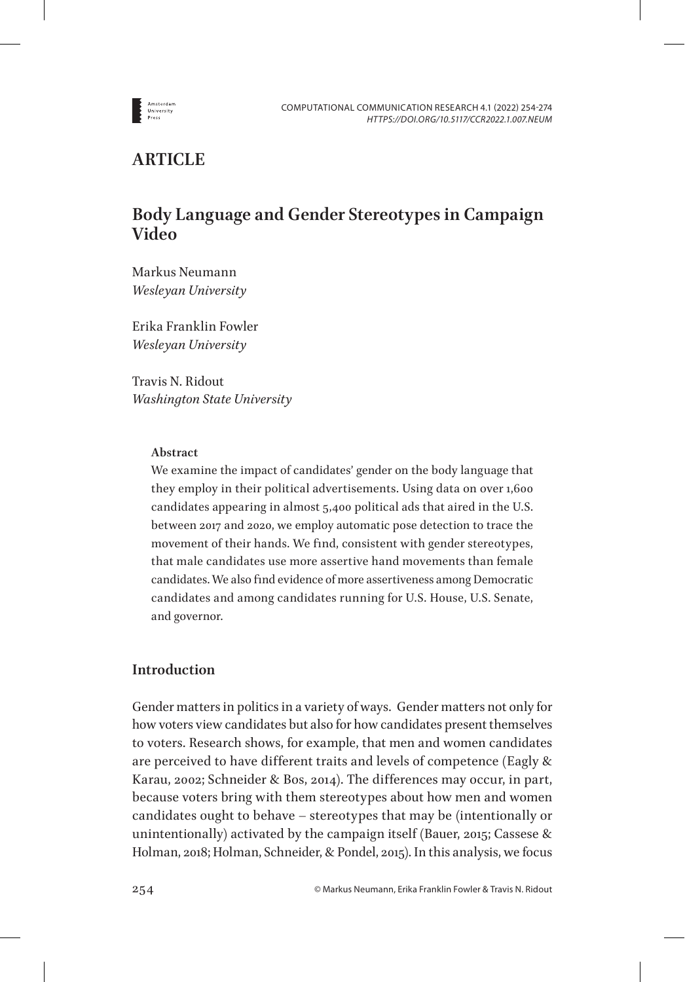

# **ARTICLE**

# **Body Language and Gender Stereotypes in Campaign Video**

Markus Neumann *Wesleyan University*

Erika Franklin Fowler *Wesleyan University*

Travis N. Ridout *Washington State University*

### **Abstract**

We examine the impact of candidates' gender on the body language that they employ in their political advertisements. Using data on over 1,600 candidates appearing in almost 5,400 political ads that aired in the U.S. between 2017 and 2020, we employ automatic pose detection to trace the movement of their hands. We find, consistent with gender stereotypes, that male candidates use more assertive hand movements than female candidates. We also find evidence of more assertiveness among Democratic candidates and among candidates running for U.S. House, U.S. Senate, and governor.

# **Introduction**

Gender matters in politics in a variety of ways. Gender matters not only for how voters view candidates but also for how candidates present themselves to voters. Research shows, for example, that men and women candidates are perceived to have different traits and levels of competence (Eagly & Karau, 2002; Schneider & Bos, 2014). The differences may occur, in part, because voters bring with them stereotypes about how men and women candidates ought to behave – stereotypes that may be (intentionally or unintentionally) activated by the campaign itself (Bauer, 2015; Cassese & Holman, 2018; Holman, Schneider, & Pondel, 2015). In this analysis, we focus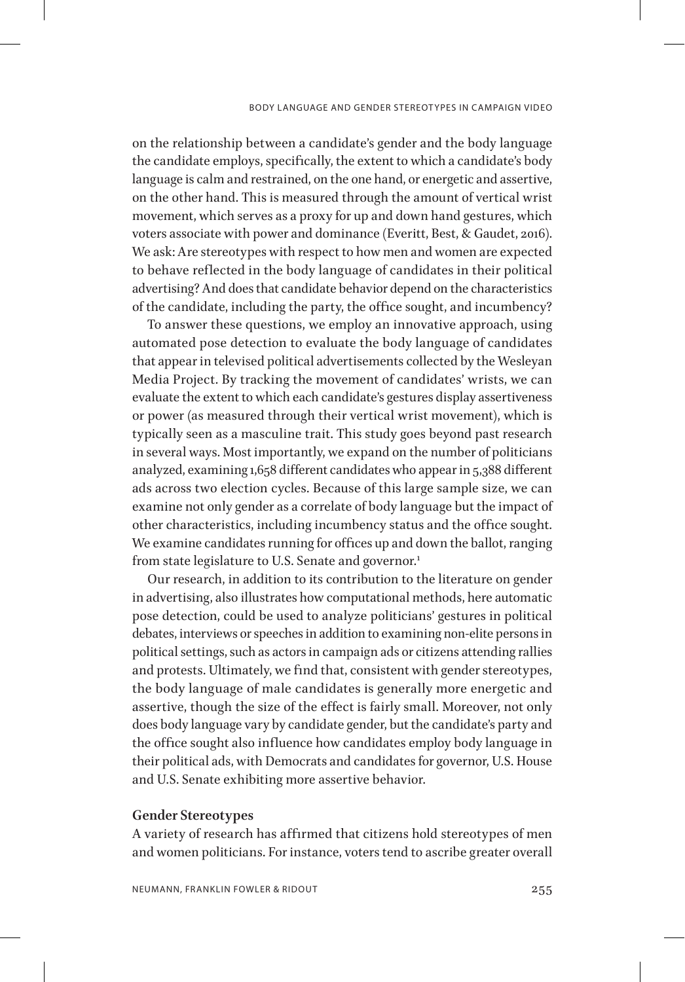on the relationship between a candidate's gender and the body language the candidate employs, specifically, the extent to which a candidate's body language is calm and restrained, on the one hand, or energetic and assertive, on the other hand. This is measured through the amount of vertical wrist movement, which serves as a proxy for up and down hand gestures, which voters associate with power and dominance (Everitt, Best, & Gaudet, 2016). We ask: Are stereotypes with respect to how men and women are expected to behave reflected in the body language of candidates in their political advertising? And does that candidate behavior depend on the characteristics of the candidate, including the party, the office sought, and incumbency?

To answer these questions, we employ an innovative approach, using automated pose detection to evaluate the body language of candidates that appear in televised political advertisements collected by the Wesleyan Media Project. By tracking the movement of candidates' wrists, we can evaluate the extent to which each candidate's gestures display assertiveness or power (as measured through their vertical wrist movement), which is typically seen as a masculine trait. This study goes beyond past research in several ways. Most importantly, we expand on the number of politicians analyzed, examining 1,658 different candidates who appear in 5,388 different ads across two election cycles. Because of this large sample size, we can examine not only gender as a correlate of body language but the impact of other characteristics, including incumbency status and the office sought. We examine candidates running for offices up and down the ballot, ranging from state legislature to U.S. Senate and governor.<sup>[1](#page-16-0)</sup>

Our research, in addition to its contribution to the literature on gender in advertising, also illustrates how computational methods, here automatic pose detection, could be used to analyze politicians' gestures in political debates, interviews or speeches in addition to examining non-elite persons in political settings, such as actors in campaign ads or citizens attending rallies and protests. Ultimately, we find that, consistent with gender stereotypes, the body language of male candidates is generally more energetic and assertive, though the size of the effect is fairly small. Moreover, not only does body language vary by candidate gender, but the candidate's party and the office sought also influence how candidates employ body language in their political ads, with Democrats and candidates for governor, U.S. House and U.S. Senate exhibiting more assertive behavior.

### **Gender Stereotypes**

A variety of research has affirmed that citizens hold stereotypes of men and women politicians. For instance, voters tend to ascribe greater overall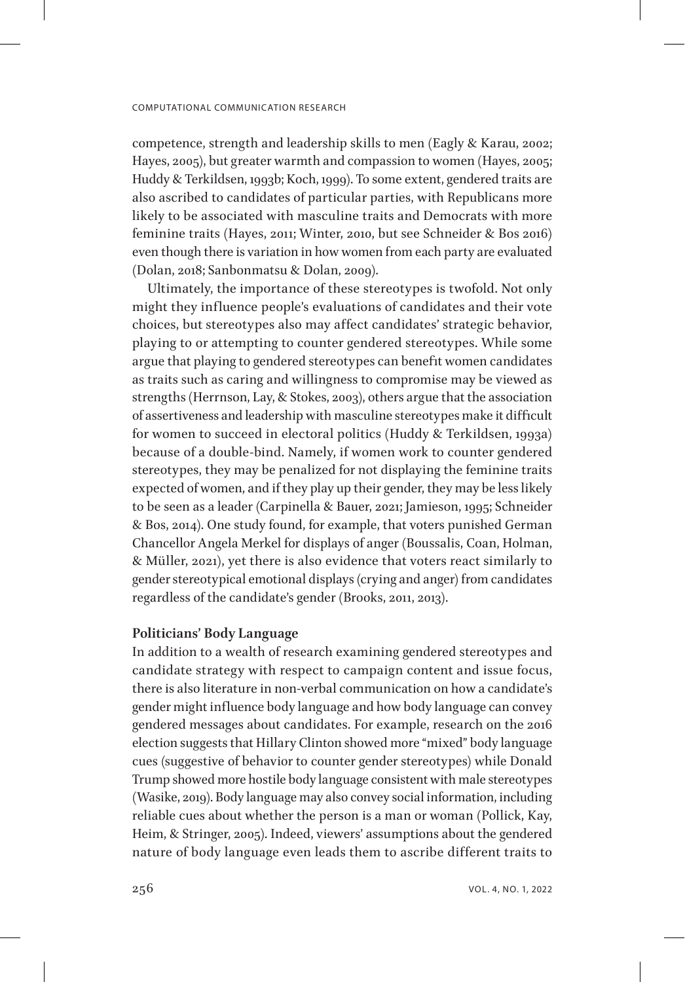competence, strength and leadership skills to men (Eagly & Karau, 2002; Hayes, 2005), but greater warmth and compassion to women (Hayes, 2005; Huddy & Terkildsen, 1993b; Koch, 1999). To some extent, gendered traits are also ascribed to candidates of particular parties, with Republicans more likely to be associated with masculine traits and Democrats with more feminine traits (Hayes, 2011; Winter, 2010, but see Schneider & Bos 2016) even though there is variation in how women from each party are evaluated (Dolan, 2018; Sanbonmatsu & Dolan, 2009).

Ultimately, the importance of these stereotypes is twofold. Not only might they influence people's evaluations of candidates and their vote choices, but stereotypes also may affect candidates' strategic behavior, playing to or attempting to counter gendered stereotypes. While some argue that playing to gendered stereotypes can benefit women candidates as traits such as caring and willingness to compromise may be viewed as strengths (Herrnson, Lay, & Stokes, 2003), others argue that the association of assertiveness and leadership with masculine stereotypes make it difficult for women to succeed in electoral politics (Huddy & Terkildsen, 1993a) because of a double-bind. Namely, if women work to counter gendered stereotypes, they may be penalized for not displaying the feminine traits expected of women, and if they play up their gender, they may be less likely to be seen as a leader (Carpinella & Bauer, 2021; Jamieson, 1995; Schneider & Bos, 2014). One study found, for example, that voters punished German Chancellor Angela Merkel for displays of anger (Boussalis, Coan, Holman, & Müller, 2021), yet there is also evidence that voters react similarly to gender stereotypical emotional displays (crying and anger) from candidates regardless of the candidate's gender (Brooks, 2011, 2013).

# **Politicians' Body Language**

In addition to a wealth of research examining gendered stereotypes and candidate strategy with respect to campaign content and issue focus, there is also literature in non-verbal communication on how a candidate's gender might influence body language and how body language can convey gendered messages about candidates. For example, research on the 2016 election suggests that Hillary Clinton showed more "mixed" body language cues (suggestive of behavior to counter gender stereotypes) while Donald Trump showed more hostile body language consistent with male stereotypes (Wasike, 2019). Body language may also convey social information, including reliable cues about whether the person is a man or woman (Pollick, Kay, Heim, & Stringer, 2005). Indeed, viewers' assumptions about the gendered nature of body language even leads them to ascribe different traits to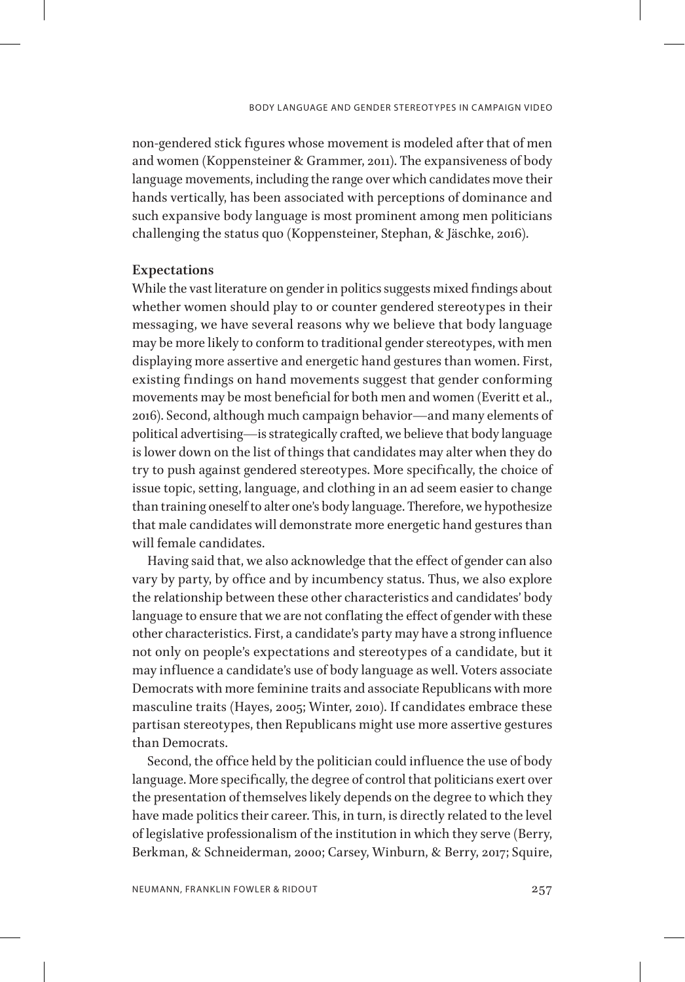non-gendered stick figures whose movement is modeled after that of men and women (Koppensteiner & Grammer, 2011). The expansiveness of body language movements, including the range over which candidates move their hands vertically, has been associated with perceptions of dominance and such expansive body language is most prominent among men politicians challenging the status quo (Koppensteiner, Stephan, & Jäschke, 2016).

### **Expectations**

While the vast literature on gender in politics suggests mixed findings about whether women should play to or counter gendered stereotypes in their messaging, we have several reasons why we believe that body language may be more likely to conform to traditional gender stereotypes, with men displaying more assertive and energetic hand gestures than women. First, existing findings on hand movements suggest that gender conforming movements may be most beneficial for both men and women (Everitt et al., 2016). Second, although much campaign behavior—and many elements of political advertising—is strategically crafted, we believe that body language is lower down on the list of things that candidates may alter when they do try to push against gendered stereotypes. More specifically, the choice of issue topic, setting, language, and clothing in an ad seem easier to change than training oneself to alter one's body language. Therefore, we hypothesize that male candidates will demonstrate more energetic hand gestures than will female candidates.

Having said that, we also acknowledge that the effect of gender can also vary by party, by office and by incumbency status. Thus, we also explore the relationship between these other characteristics and candidates' body language to ensure that we are not conflating the effect of gender with these other characteristics. First, a candidate's party may have a strong influence not only on people's expectations and stereotypes of a candidate, but it may influence a candidate's use of body language as well. Voters associate Democrats with more feminine traits and associate Republicans with more masculine traits (Hayes, 2005; Winter, 2010). If candidates embrace these partisan stereotypes, then Republicans might use more assertive gestures than Democrats.

Second, the office held by the politician could influence the use of body language. More specifically, the degree of control that politicians exert over the presentation of themselves likely depends on the degree to which they have made politics their career. This, in turn, is directly related to the level of legislative professionalism of the institution in which they serve (Berry, Berkman, & Schneiderman, 2000; Carsey, Winburn, & Berry, 2017; Squire,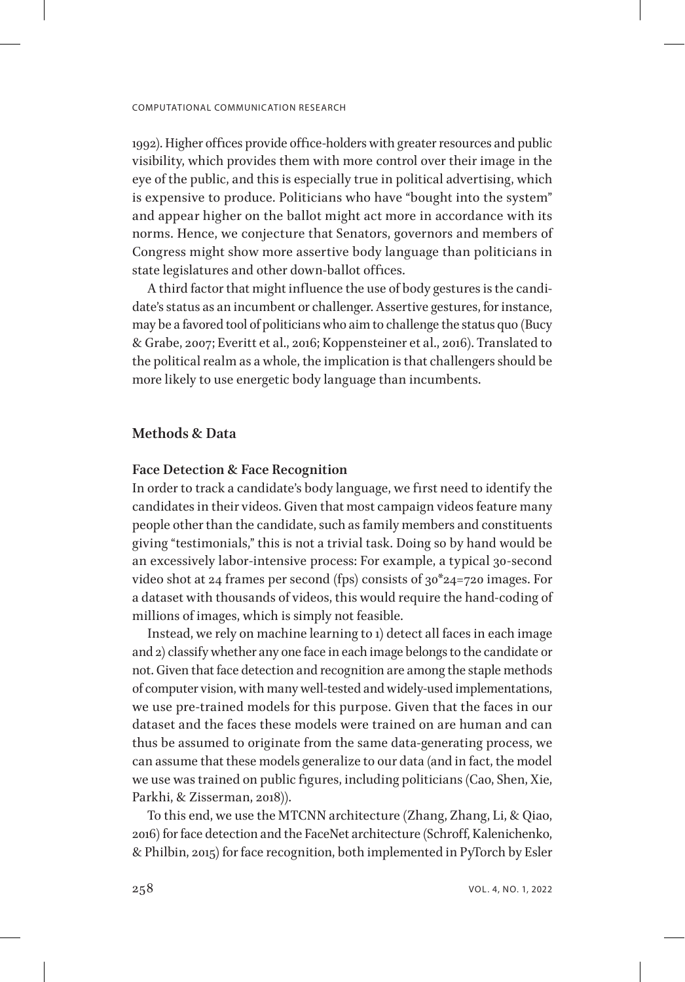1992). Higher offices provide office-holders with greater resources and public visibility, which provides them with more control over their image in the eye of the public, and this is especially true in political advertising, which is expensive to produce. Politicians who have "bought into the system" and appear higher on the ballot might act more in accordance with its norms. Hence, we conjecture that Senators, governors and members of Congress might show more assertive body language than politicians in state legislatures and other down-ballot offices.

A third factor that might influence the use of body gestures is the candidate's status as an incumbent or challenger. Assertive gestures, for instance, may be a favored tool of politicians who aim to challenge the status quo (Bucy & Grabe, 2007; Everitt et al., 2016; Koppensteiner et al., 2016). Translated to the political realm as a whole, the implication is that challengers should be more likely to use energetic body language than incumbents.

# **Methods & Data**

### **Face Detection & Face Recognition**

In order to track a candidate's body language, we first need to identify the candidates in their videos. Given that most campaign videos feature many people other than the candidate, such as family members and constituents giving "testimonials," this is not a trivial task. Doing so by hand would be an excessively labor-intensive process: For example, a typical 30-second video shot at 24 frames per second (fps) consists of 30\*24=720 images. For a dataset with thousands of videos, this would require the hand-coding of millions of images, which is simply not feasible.

Instead, we rely on machine learning to 1) detect all faces in each image and 2) classify whether any one face in each image belongs to the candidate or not. Given that face detection and recognition are among the staple methods of computer vision, with many well-tested and widely-used implementations, we use pre-trained models for this purpose. Given that the faces in our dataset and the faces these models were trained on are human and can thus be assumed to originate from the same data-generating process, we can assume that these models generalize to our data (and in fact, the model we use was trained on public figures, including politicians (Cao, Shen, Xie, Parkhi, & Zisserman, 2018)).

To this end, we use the MTCNN architecture (Zhang, Zhang, Li, & Qiao, 2016) for face detection and the FaceNet architecture (Schroff, Kalenichenko, & Philbin, 2015) for face recognition, both implemented in PyTorch by Esler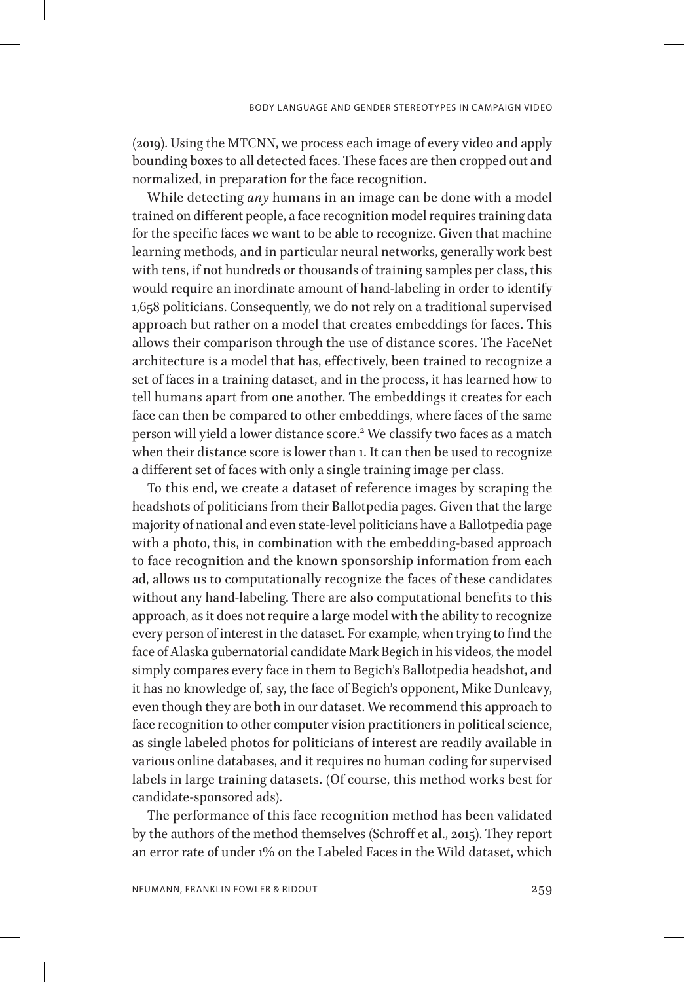(2019). Using the MTCNN, we process each image of every video and apply bounding boxes to all detected faces. These faces are then cropped out and normalized, in preparation for the face recognition.

While detecting *any* humans in an image can be done with a model trained on different people, a face recognition model requires training data for the specific faces we want to be able to recognize. Given that machine learning methods, and in particular neural networks, generally work best with tens, if not hundreds or thousands of training samples per class, this would require an inordinate amount of hand-labeling in order to identify 1,658 politicians. Consequently, we do not rely on a traditional supervised approach but rather on a model that creates embeddings for faces. This allows their comparison through the use of distance scores. The FaceNet architecture is a model that has, effectively, been trained to recognize a set of faces in a training dataset, and in the process, it has learned how to tell humans apart from one another. The embeddings it creates for each face can then be compared to other embeddings, where faces of the same person will yield a lower distance score.<sup>[2](#page-16-1)</sup> We classify two faces as a match when their distance score is lower than 1. It can then be used to recognize a different set of faces with only a single training image per class.

To this end, we create a dataset of reference images by scraping the headshots of politicians from their Ballotpedia pages. Given that the large majority of national and even state-level politicians have a Ballotpedia page with a photo, this, in combination with the embedding-based approach to face recognition and the known sponsorship information from each ad, allows us to computationally recognize the faces of these candidates without any hand-labeling. There are also computational benefits to this approach, as it does not require a large model with the ability to recognize every person of interest in the dataset. For example, when trying to find the face of Alaska gubernatorial candidate Mark Begich in his videos, the model simply compares every face in them to Begich's Ballotpedia headshot, and it has no knowledge of, say, the face of Begich's opponent, Mike Dunleavy, even though they are both in our dataset. We recommend this approach to face recognition to other computer vision practitioners in political science, as single labeled photos for politicians of interest are readily available in various online databases, and it requires no human coding for supervised labels in large training datasets. (Of course, this method works best for candidate-sponsored ads).

The performance of this face recognition method has been validated by the authors of the method themselves (Schroff et al., 2015). They report an error rate of under 1% on the Labeled Faces in the Wild dataset, which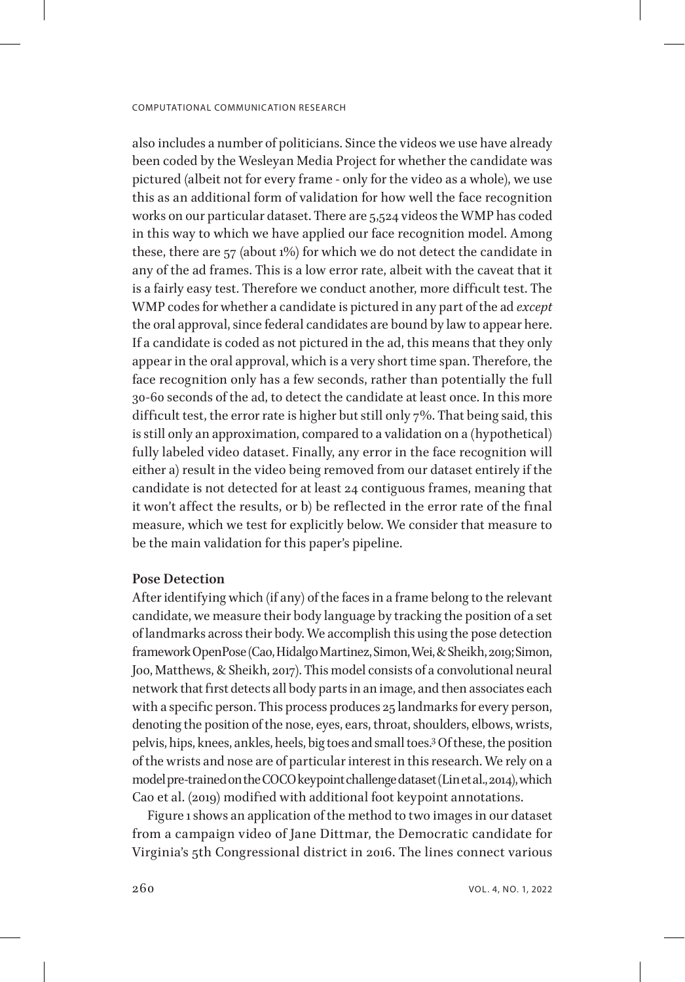also includes a number of politicians. Since the videos we use have already been coded by the Wesleyan Media Project for whether the candidate was pictured (albeit not for every frame - only for the video as a whole), we use this as an additional form of validation for how well the face recognition works on our particular dataset. There are 5,524 videos the WMP has coded in this way to which we have applied our face recognition model. Among these, there are 57 (about 1%) for which we do not detect the candidate in any of the ad frames. This is a low error rate, albeit with the caveat that it is a fairly easy test. Therefore we conduct another, more difficult test. The WMP codes for whether a candidate is pictured in any part of the ad *except* the oral approval, since federal candidates are bound by law to appear here. If a candidate is coded as not pictured in the ad, this means that they only appear in the oral approval, which is a very short time span. Therefore, the face recognition only has a few seconds, rather than potentially the full 30-60 seconds of the ad, to detect the candidate at least once. In this more difficult test, the error rate is higher but still only 7%. That being said, this is still only an approximation, compared to a validation on a (hypothetical) fully labeled video dataset. Finally, any error in the face recognition will either a) result in the video being removed from our dataset entirely if the candidate is not detected for at least 24 contiguous frames, meaning that it won't affect the results, or b) be reflected in the error rate of the final measure, which we test for explicitly below. We consider that measure to be the main validation for this paper's pipeline.

### **Pose Detection**

After identifying which (if any) of the faces in a frame belong to the relevant candidate, we measure their body language by tracking the position of a set of landmarks across their body. We accomplish this using the pose detection framework OpenPose (Cao, Hidalgo Martinez, Simon, Wei, & Sheikh, 2019; Simon, Joo, Matthews, & Sheikh, 2017). This model consists of a convolutional neural network that first detects all body parts in an image, and then associates each with a specific person. This process produces 25 landmarks for every person, denoting the position of the nose, eyes, ears, throat, shoulders, elbows, wrists, pelvis, hips, knees, ankles, heels, big toes and small toes[.3](#page-16-2) Of these, the position of the wrists and nose are of particular interest in this research. We rely on a model pre-trained on the COCO keypoint challenge dataset (Lin et al., 2014), which Cao et al. (2019) modified with additional foot keypoint annotations.

Figure 1 shows an application of the method to two images in our dataset from a campaign video of Jane Dittmar, the Democratic candidate for Virginia's 5th Congressional district in 2016. The lines connect various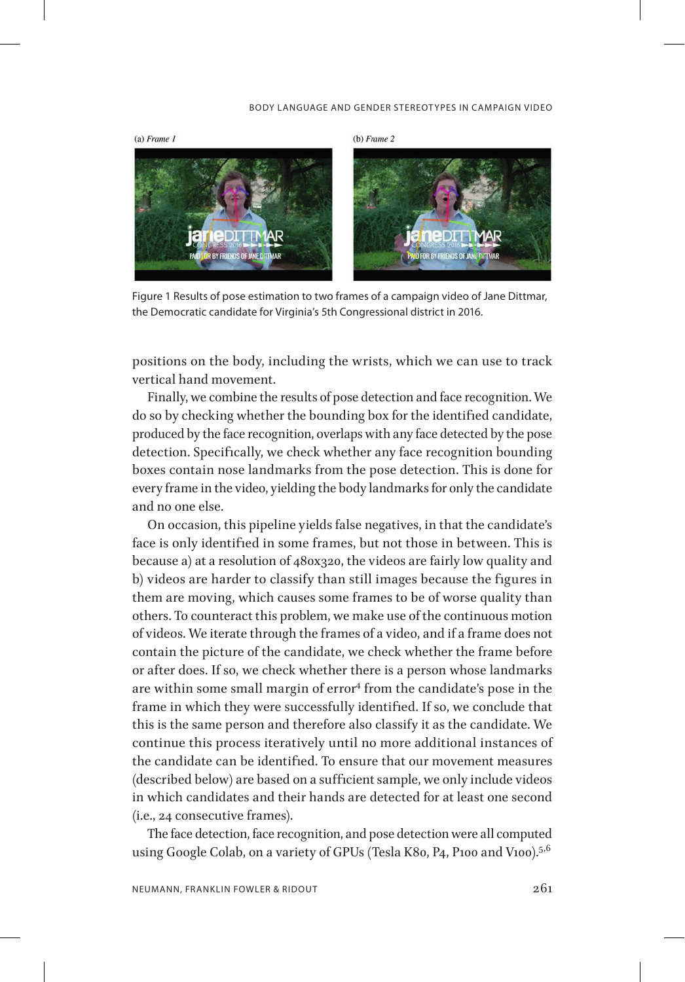#### BODY LANGUAGE AND GENDER STEREOTYPES IN CAMPAIGN VIDEO



Figure 1 Results of pose estimation to two frames of a campaign video of Jane Dittmar, the Democratic candidate for Virginia's 5th Congressional district in 2016.

positions on the body, including the wrists, which we can use to track vertical hand movement.

Finally, we combine the results of pose detection and face recognition. We do so by checking whether the bounding box for the identified candidate, produced by the face recognition, overlaps with any face detected by the pose detection. Specifically, we check whether any face recognition bounding boxes contain nose landmarks from the pose detection. This is done for every frame in the video, yielding the body landmarks for only the candidate and no one else.

On occasion, this pipeline yields false negatives, in that the candidate's face is only identified in some frames, but not those in between. This is because a) at a resolution of 480x320, the videos are fairly low quality and b) videos are harder to classify than still images because the figures in them are moving, which causes some frames to be of worse quality than others. To counteract this problem, we make use of the continuous motion of videos. We iterate through the frames of a video, and if a frame does not contain the picture of the candidate, we check whether the frame before or after does. If so, we check whether there is a person whose landmarks are within some small margin of error<sup>4</sup> from the candidate's pose in the frame in which they were successfully identified. If so, we conclude that this is the same person and therefore also classify it as the candidate. We continue this process iteratively until no more additional instances of the candidate can be identified. To ensure that our movement measures (described below) are based on a sufficient sample, we only include videos in which candidates and their hands are detected for at least one second (i.e., 24 consecutive frames).

The face detection, face recognition, and pose detection were all computed using Google Colab, on a variety of GPUs (Tesla K80, P4, P100 and V100).<sup>[5](#page-17-0),[6](#page-17-1)</sup>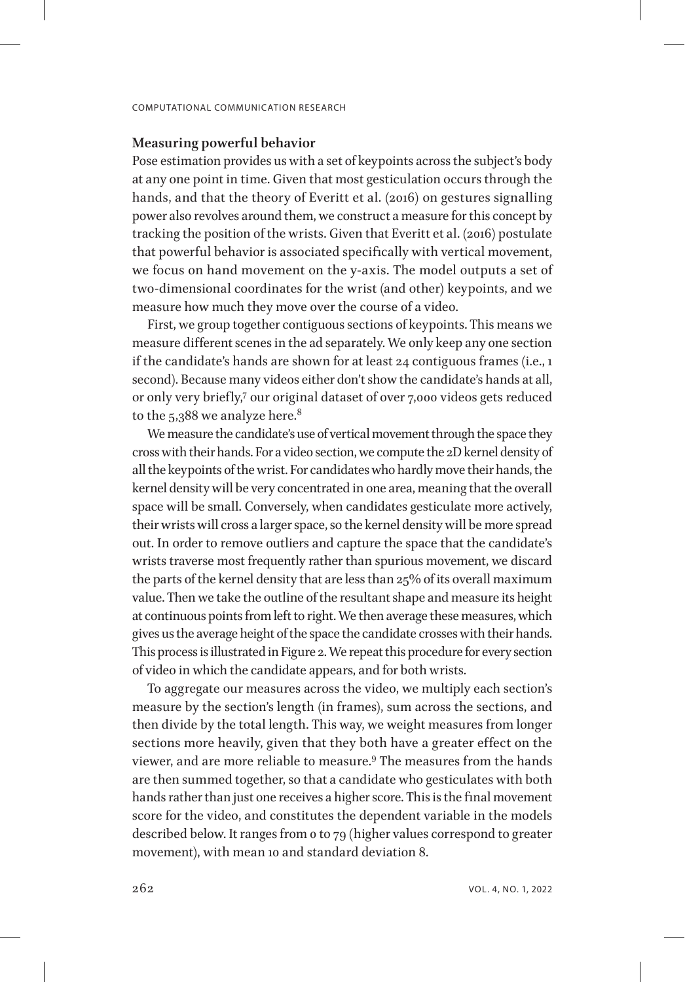### **Measuring powerful behavior**

Pose estimation provides us with a set of keypoints across the subject's body at any one point in time. Given that most gesticulation occurs through the hands, and that the theory of Everitt et al. (2016) on gestures signalling power also revolves around them, we construct a measure for this concept by tracking the position of the wrists. Given that Everitt et al. (2016) postulate that powerful behavior is associated specifically with vertical movement, we focus on hand movement on the y-axis. The model outputs a set of two-dimensional coordinates for the wrist (and other) keypoints, and we measure how much they move over the course of a video.

First, we group together contiguous sections of keypoints. This means we measure different scenes in the ad separately. We only keep any one section if the candidate's hands are shown for at least 24 contiguous frames (i.e., 1 second). Because many videos either don't show the candidate's hands at all, or only very briefly,<sup>7</sup> our original dataset of over 7,000 videos gets reduced to the  $5,388$  $5,388$  $5,388$  we analyze here.<sup>8</sup>

We measure the candidate's use of vertical movement through the space they cross with their hands. For a video section, we compute the 2D kernel density of all the keypoints of the wrist. For candidates who hardly move their hands, the kernel density will be very concentrated in one area, meaning that the overall space will be small. Conversely, when candidates gesticulate more actively, their wrists will cross a larger space, so the kernel density will be more spread out. In order to remove outliers and capture the space that the candidate's wrists traverse most frequently rather than spurious movement, we discard the parts of the kernel density that are less than 25% of its overall maximum value. Then we take the outline of the resultant shape and measure its height at continuous points from left to right. We then average these measures, which gives us the average height of the space the candidate crosses with their hands. This process is illustrated in Figure 2. We repeat this procedure for every section of video in which the candidate appears, and for both wrists.

To aggregate our measures across the video, we multiply each section's measure by the section's length (in frames), sum across the sections, and then divide by the total length. This way, we weight measures from longer sections more heavily, given that they both have a greater effect on the viewer, and are more reliable to measure.[9](#page-17-4) The measures from the hands are then summed together, so that a candidate who gesticulates with both hands rather than just one receives a higher score. This is the final movement score for the video, and constitutes the dependent variable in the models described below. It ranges from 0 to 79 (higher values correspond to greater movement), with mean 10 and standard deviation 8.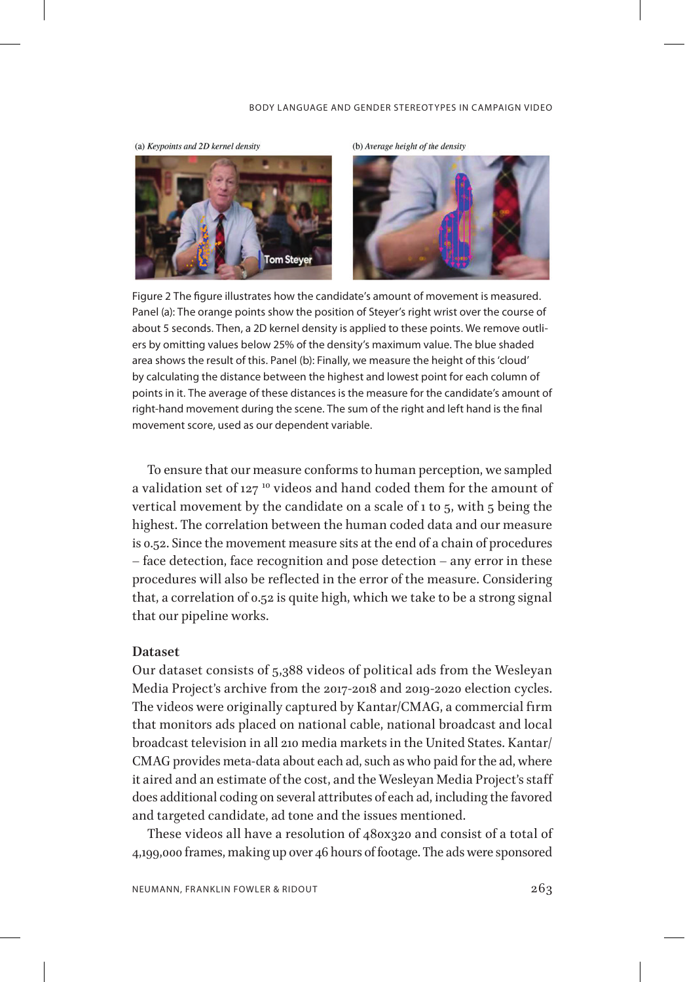#### BODY LANGUAGE AND GENDER STEREOTYPES IN CAMPAIGN VIDEO



(a) Keypoints and 2D kernel density

Figure 2 The figure illustrates how the candidate's amount of movement is measured. Panel (a): The orange points show the position of Steyer's right wrist over the course of about 5 seconds. Then, a 2D kernel density is applied to these points. We remove outliers by omitting values below 25% of the density's maximum value. The blue shaded area shows the result of this. Panel (b): Finally, we measure the height of this 'cloud' by calculating the distance between the highest and lowest point for each column of points in it. The average of these distances is the measure for the candidate's amount of right-hand movement during the scene. The sum of the right and left hand is the final movement score, used as our dependent variable.

To ensure that our measure conforms to human perception, we sampled a validation set of 127<sup>10</sup> videos and hand coded them for the amount of vertical movement by the candidate on a scale of 1 to 5, with 5 being the highest. The correlation between the human coded data and our measure is 0.52. Since the movement measure sits at the end of a chain of procedures – face detection, face recognition and pose detection – any error in these procedures will also be reflected in the error of the measure. Considering that, a correlation of 0.52 is quite high, which we take to be a strong signal that our pipeline works.

### **Dataset**

Our dataset consists of 5,388 videos of political ads from the Wesleyan Media Project's archive from the 2017-2018 and 2019-2020 election cycles. The videos were originally captured by Kantar/CMAG, a commercial firm that monitors ads placed on national cable, national broadcast and local broadcast television in all 210 media markets in the United States. Kantar/ CMAG provides meta-data about each ad, such as who paid for the ad, where it aired and an estimate of the cost, and the Wesleyan Media Project's staff does additional coding on several attributes of each ad, including the favored and targeted candidate, ad tone and the issues mentioned.

These videos all have a resolution of 480x320 and consist of a total of 4,199,000 frames, making up over 46 hours of footage. The ads were sponsored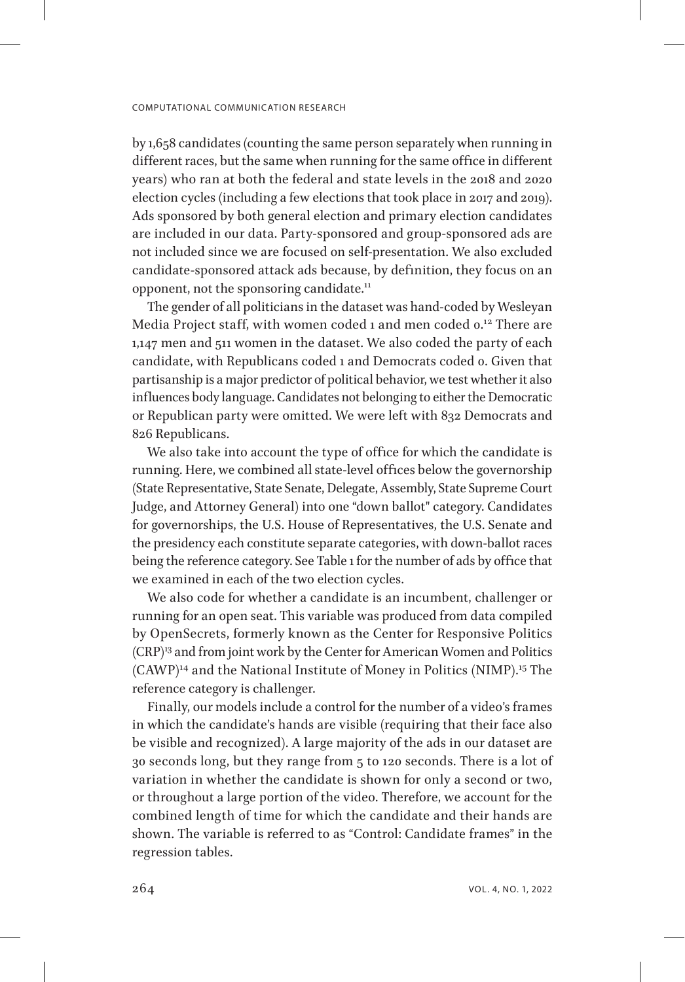by 1,658 candidates (counting the same person separately when running in different races, but the same when running for the same office in different years) who ran at both the federal and state levels in the 2018 and 2020 election cycles (including a few elections that took place in 2017 and 2019). Ads sponsored by both general election and primary election candidates are included in our data. Party-sponsored and group-sponsored ads are not included since we are focused on self-presentation. We also excluded candidate-sponsored attack ads because, by definition, they focus on an opponent, not the sponsoring candidate.<sup>[11](#page-17-6)</sup>

The gender of all politicians in the dataset was hand-coded by Wesleyan Media Project staff, with women coded 1 and men coded 0.<sup>[12](#page-17-7)</sup> There are 1,147 men and 511 women in the dataset. We also coded the party of each candidate, with Republicans coded 1 and Democrats coded 0. Given that partisanship is a major predictor of political behavior, we test whether it also influences body language. Candidates not belonging to either the Democratic or Republican party were omitted. We were left with 832 Democrats and 826 Republicans.

We also take into account the type of office for which the candidate is running. Here, we combined all state-level offices below the governorship (State Representative, State Senate, Delegate, Assembly, State Supreme Court Judge, and Attorney General) into one "down ballot" category. Candidates for governorships, the U.S. House of Representatives, the U.S. Senate and the presidency each constitute separate categories, with down-ballot races being the reference category. See Table 1 for the number of ads by office that we examined in each of the two election cycles.

We also code for whether a candidate is an incumbent, challenger or running for an open seat. This variable was produced from data compiled by OpenSecrets, formerly known as the Center for Responsive Politics (CRP[\)13](#page-18-0) and from joint work by the Center for American Women and Politics (CAWP)[14](#page-18-1) and the National Institute of Money in Politics (NIMP).[15](#page-18-2) The reference category is challenger.

Finally, our models include a control for the number of a video's frames in which the candidate's hands are visible (requiring that their face also be visible and recognized). A large majority of the ads in our dataset are 30 seconds long, but they range from 5 to 120 seconds. There is a lot of variation in whether the candidate is shown for only a second or two, or throughout a large portion of the video. Therefore, we account for the combined length of time for which the candidate and their hands are shown. The variable is referred to as "Control: Candidate frames" in the regression tables.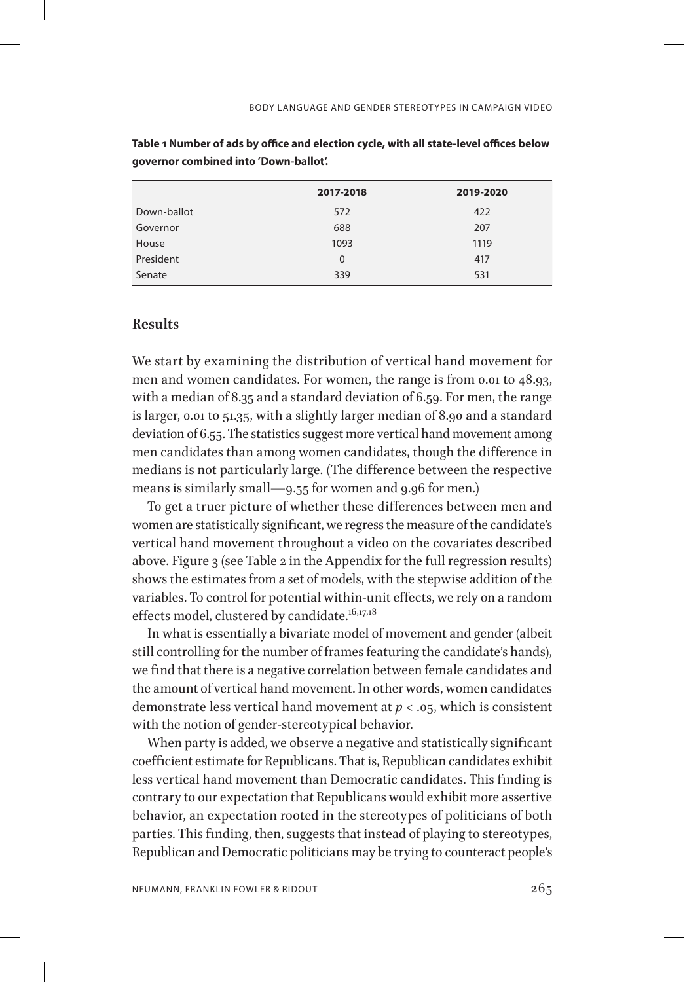|             | 2017-2018 | 2019-2020 |
|-------------|-----------|-----------|
| Down-ballot | 572       | 422       |
| Governor    | 688       | 207       |
| House       | 1093      | 1119      |
| President   | $\Omega$  | 417       |
| Senate      | 339       | 531       |

**Table 1 Number of ads by office and election cycle, with all state-level offices below governor combined into 'Down-ballot'.**

## **Results**

We start by examining the distribution of vertical hand movement for men and women candidates. For women, the range is from 0.01 to 48.93, with a median of 8.35 and a standard deviation of 6.59. For men, the range is larger, 0.01 to 51.35, with a slightly larger median of 8.90 and a standard deviation of 6.55. The statistics suggest more vertical hand movement among men candidates than among women candidates, though the difference in medians is not particularly large. (The difference between the respective means is similarly small—9.55 for women and 9.96 for men.)

To get a truer picture of whether these differences between men and women are statistically significant, we regress the measure of the candidate's vertical hand movement throughout a video on the covariates described above. Figure 3 (see Table 2 in the Appendix for the full regression results) shows the estimates from a set of models, with the stepwise addition of the variables. To control for potential within-unit effects, we rely on a random effects model, clustered by candidate.<sup>[16,](#page-18-3)[17,](#page-18-4)[18](#page-18-5)</sup>

In what is essentially a bivariate model of movement and gender (albeit still controlling for the number of frames featuring the candidate's hands), we find that there is a negative correlation between female candidates and the amount of vertical hand movement. In other words, women candidates demonstrate less vertical hand movement at *p* < .05, which is consistent with the notion of gender-stereotypical behavior.

When party is added, we observe a negative and statistically significant coefficient estimate for Republicans. That is, Republican candidates exhibit less vertical hand movement than Democratic candidates. This finding is contrary to our expectation that Republicans would exhibit more assertive behavior, an expectation rooted in the stereotypes of politicians of both parties. This finding, then, suggests that instead of playing to stereotypes, Republican and Democratic politicians may be trying to counteract people's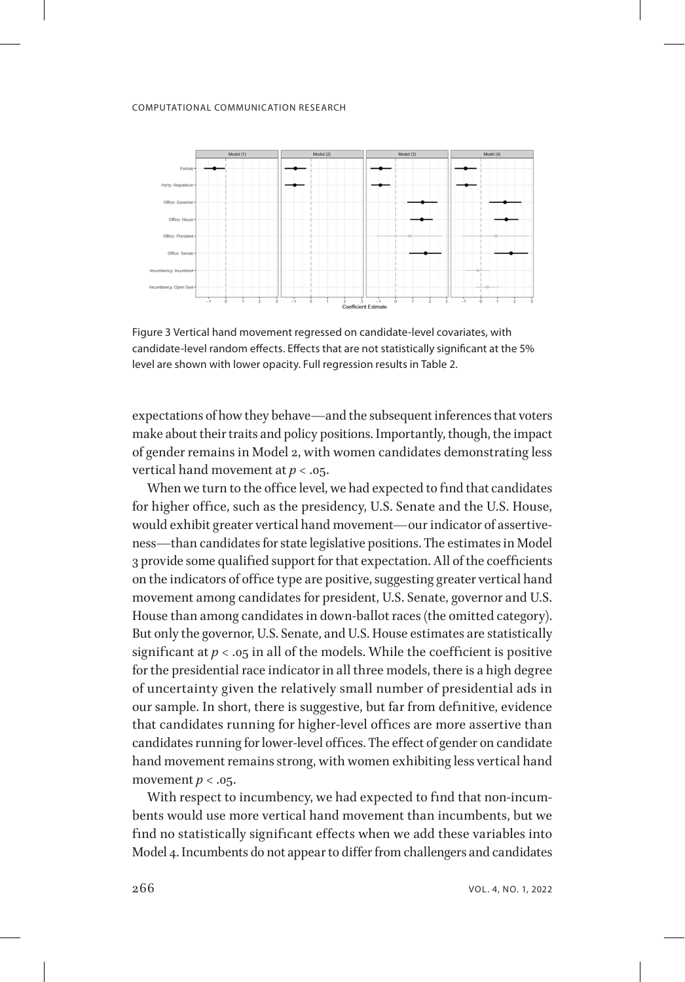

Figure 3 Vertical hand movement regressed on candidate-level covariates, with candidate-level random effects. Effects that are not statistically significant at the 5% level are shown with lower opacity. Full regression results in Table 2.

expectations of how they behave—and the subsequent inferences that voters make about their traits and policy positions. Importantly, though, the impact of gender remains in Model 2, with women candidates demonstrating less vertical hand movement at *p* < .05.

When we turn to the office level, we had expected to find that candidates for higher office, such as the presidency, U.S. Senate and the U.S. House, would exhibit greater vertical hand movement—our indicator of assertiveness—than candidates for state legislative positions. The estimates in Model 3 provide some qualified support for that expectation. All of the coefficients on the indicators of office type are positive, suggesting greater vertical hand movement among candidates for president, U.S. Senate, governor and U.S. House than among candidates in down-ballot races (the omitted category). But only the governor, U.S. Senate, and U.S. House estimates are statistically significant at  $p < .05$  in all of the models. While the coefficient is positive for the presidential race indicator in all three models, there is a high degree of uncertainty given the relatively small number of presidential ads in our sample. In short, there is suggestive, but far from definitive, evidence that candidates running for higher-level offices are more assertive than candidates running for lower-level offices. The effect of gender on candidate hand movement remains strong, with women exhibiting less vertical hand movement  $p < .05$ .

With respect to incumbency, we had expected to find that non-incumbents would use more vertical hand movement than incumbents, but we find no statistically significant effects when we add these variables into Model 4. Incumbents do not appear to differ from challengers and candidates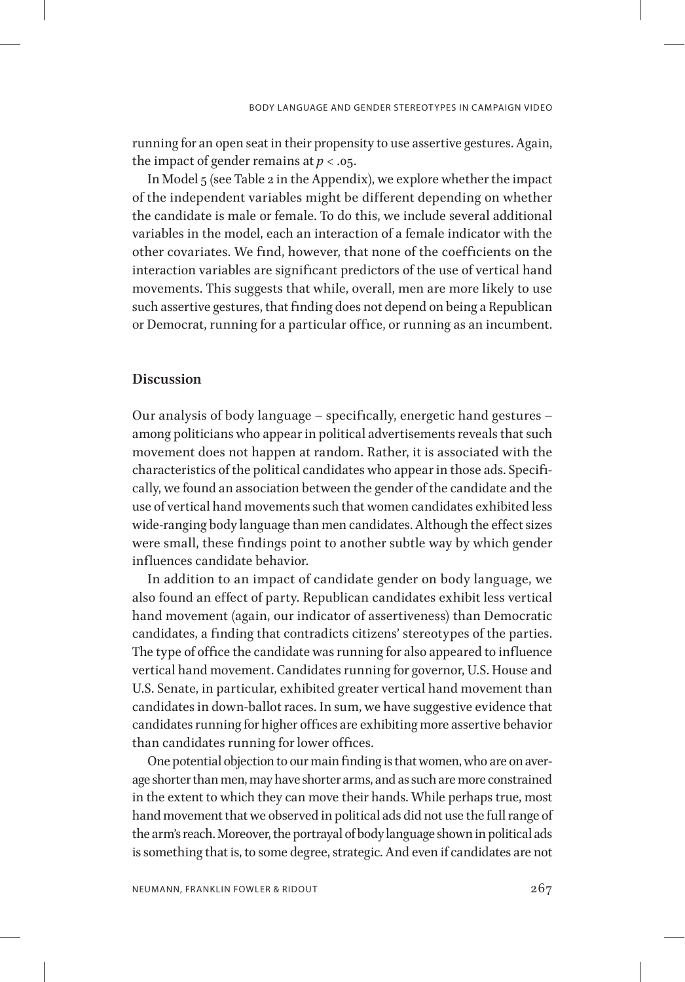running for an open seat in their propensity to use assertive gestures. Again, the impact of gender remains at  $p < .05$ .

In Model 5 (see Table 2 in the Appendix), we explore whether the impact of the independent variables might be different depending on whether the candidate is male or female. To do this, we include several additional variables in the model, each an interaction of a female indicator with the other covariates. We find, however, that none of the coefficients on the interaction variables are significant predictors of the use of vertical hand movements. This suggests that while, overall, men are more likely to use such assertive gestures, that finding does not depend on being a Republican or Democrat, running for a particular office, or running as an incumbent.

# **Discussion**

Our analysis of body language – specifically, energetic hand gestures – among politicians who appear in political advertisements reveals that such movement does not happen at random. Rather, it is associated with the characteristics of the political candidates who appear in those ads. Specifically, we found an association between the gender of the candidate and the use of vertical hand movements such that women candidates exhibited less wide-ranging body language than men candidates. Although the effect sizes were small, these findings point to another subtle way by which gender influences candidate behavior.

In addition to an impact of candidate gender on body language, we also found an effect of party. Republican candidates exhibit less vertical hand movement (again, our indicator of assertiveness) than Democratic candidates, a finding that contradicts citizens' stereotypes of the parties. The type of office the candidate was running for also appeared to influence vertical hand movement. Candidates running for governor, U.S. House and U.S. Senate, in particular, exhibited greater vertical hand movement than candidates in down-ballot races. In sum, we have suggestive evidence that candidates running for higher offices are exhibiting more assertive behavior than candidates running for lower offices.

One potential objection to our main finding is that women, who are on average shorter than men, may have shorter arms, and as such are more constrained in the extent to which they can move their hands. While perhaps true, most hand movement that we observed in political ads did not use the full range of the arm's reach. Moreover, the portrayal of body language shown in political ads is something that is, to some degree, strategic. And even if candidates are not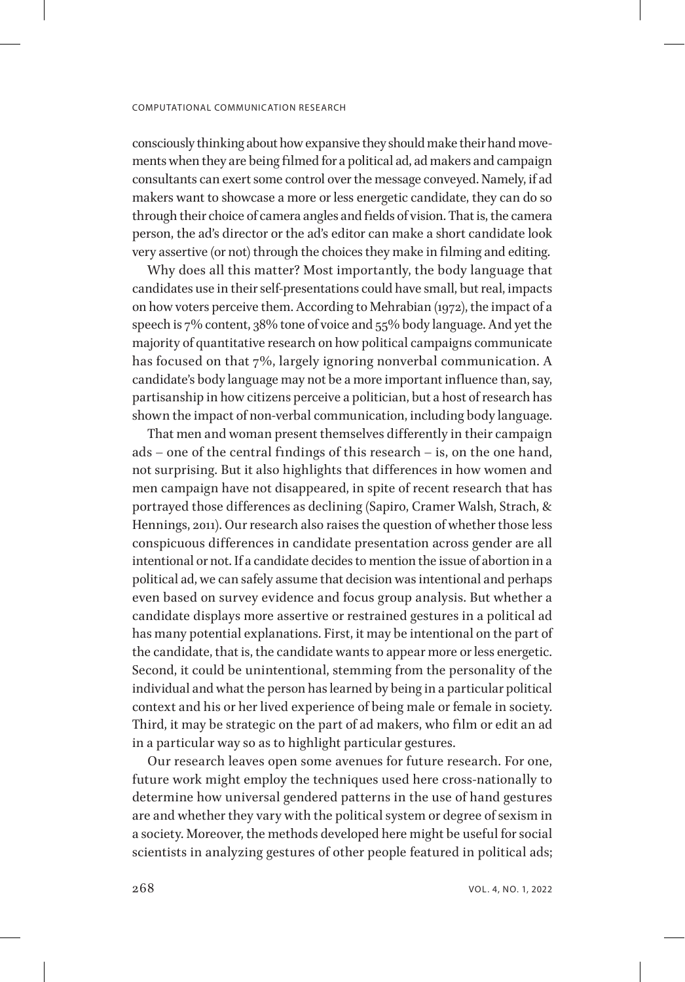consciously thinking about how expansive they should make their hand movements when they are being filmed for a political ad, ad makers and campaign consultants can exert some control over the message conveyed. Namely, if ad makers want to showcase a more or less energetic candidate, they can do so through their choice of camera angles and fields of vision. That is, the camera person, the ad's director or the ad's editor can make a short candidate look very assertive (or not) through the choices they make in filming and editing.

Why does all this matter? Most importantly, the body language that candidates use in their self-presentations could have small, but real, impacts on how voters perceive them. According to Mehrabian (1972), the impact of a speech is 7% content, 38% tone of voice and 55% body language. And yet the majority of quantitative research on how political campaigns communicate has focused on that 7%, largely ignoring nonverbal communication. A candidate's body language may not be a more important influence than, say, partisanship in how citizens perceive a politician, but a host of research has shown the impact of non-verbal communication, including body language.

That men and woman present themselves differently in their campaign ads – one of the central findings of this research – is, on the one hand, not surprising. But it also highlights that differences in how women and men campaign have not disappeared, in spite of recent research that has portrayed those differences as declining (Sapiro, Cramer Walsh, Strach, & Hennings, 2011). Our research also raises the question of whether those less conspicuous differences in candidate presentation across gender are all intentional or not. If a candidate decides to mention the issue of abortion in a political ad, we can safely assume that decision was intentional and perhaps even based on survey evidence and focus group analysis. But whether a candidate displays more assertive or restrained gestures in a political ad has many potential explanations. First, it may be intentional on the part of the candidate, that is, the candidate wants to appear more or less energetic. Second, it could be unintentional, stemming from the personality of the individual and what the person has learned by being in a particular political context and his or her lived experience of being male or female in society. Third, it may be strategic on the part of ad makers, who film or edit an ad in a particular way so as to highlight particular gestures.

Our research leaves open some avenues for future research. For one, future work might employ the techniques used here cross-nationally to determine how universal gendered patterns in the use of hand gestures are and whether they vary with the political system or degree of sexism in a society. Moreover, the methods developed here might be useful for social scientists in analyzing gestures of other people featured in political ads;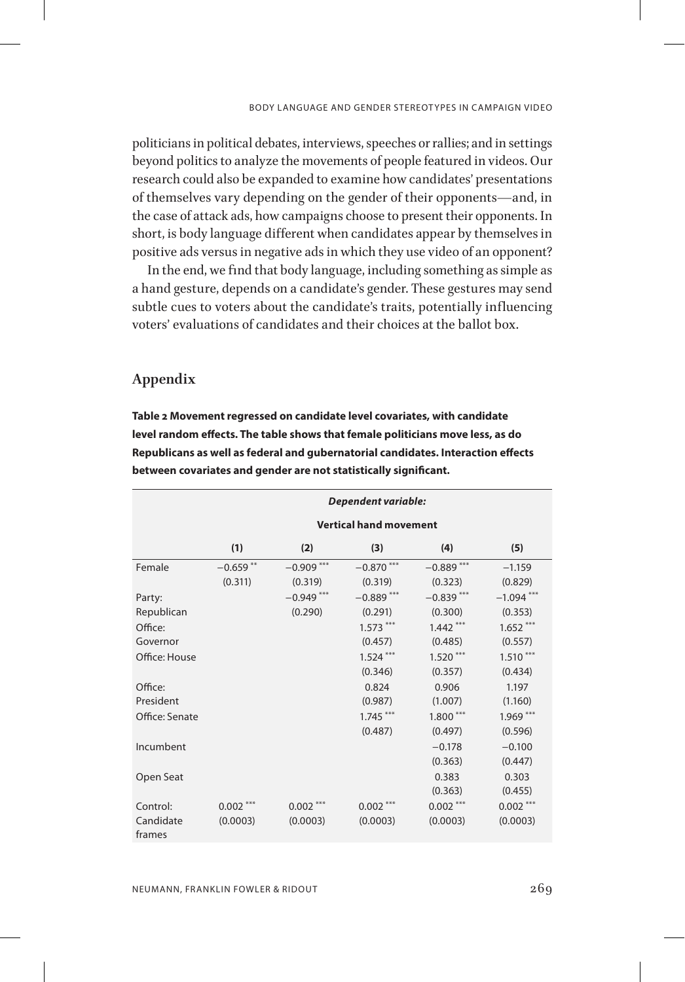politicians in political debates, interviews, speeches or rallies; and in settings beyond politics to analyze the movements of people featured in videos. Our research could also be expanded to examine how candidates' presentations of themselves vary depending on the gender of their opponents—and, in the case of attack ads, how campaigns choose to present their opponents. In short, is body language different when candidates appear by themselves in positive ads versus in negative ads in which they use video of an opponent?

In the end, we find that body language, including something as simple as a hand gesture, depends on a candidate's gender. These gestures may send subtle cues to voters about the candidate's traits, potentially influencing voters' evaluations of candidates and their choices at the ballot box.

# **Appendix**

**Table 2 Movement regressed on candidate level covariates, with candidate level random effects. The table shows that female politicians move less, as do Republicans as well as federal and gubernatorial candidates. Interaction effects between covariates and gender are not statistically significant.**

|                     | <b>Dependent variable:</b>    |              |              |              |              |  |  |
|---------------------|-------------------------------|--------------|--------------|--------------|--------------|--|--|
|                     | <b>Vertical hand movement</b> |              |              |              |              |  |  |
|                     | (1)                           | (2)          | (3)          | (4)          | (5)          |  |  |
| Female              | $-0.659$ **                   | $-0.909$ *** | $-0.870$ *** | $-0.889$ *** | $-1.159$     |  |  |
|                     | (0.311)                       | (0.319)      | (0.319)      | (0.323)      | (0.829)      |  |  |
| Party:              |                               | $-0.949$ *** | $-0.889***$  | $-0.839***$  | $-1.094$ *** |  |  |
| Republican          |                               | (0.290)      | (0.291)      | (0.300)      | (0.353)      |  |  |
| Office:             |                               |              | $1.573***$   | $1.442***$   | $1.652***$   |  |  |
| Governor            |                               |              | (0.457)      | (0.485)      | (0.557)      |  |  |
| Office: House       |                               |              | $1.524***$   | $1.520***$   | $1.510***$   |  |  |
|                     |                               |              | (0.346)      | (0.357)      | (0.434)      |  |  |
| Office:             |                               |              | 0.824        | 0.906        | 1.197        |  |  |
| President           |                               |              | (0.987)      | (1.007)      | (1.160)      |  |  |
| Office: Senate      |                               |              | $1.745***$   | $1.800***$   | $1.969***$   |  |  |
|                     |                               |              | (0.487)      | (0.497)      | (0.596)      |  |  |
| Incumbent           |                               |              |              | $-0.178$     | $-0.100$     |  |  |
|                     |                               |              |              | (0.363)      | (0.447)      |  |  |
| Open Seat           |                               |              |              | 0.383        | 0.303        |  |  |
|                     |                               |              |              | (0.363)      | (0.455)      |  |  |
| Control:            | $0.002$ ***                   | $0.002***$   | $0.002***$   | $0.002***$   | $0.002***$   |  |  |
| Candidate<br>frames | (0.0003)                      | (0.0003)     | (0.0003)     | (0.0003)     | (0.0003)     |  |  |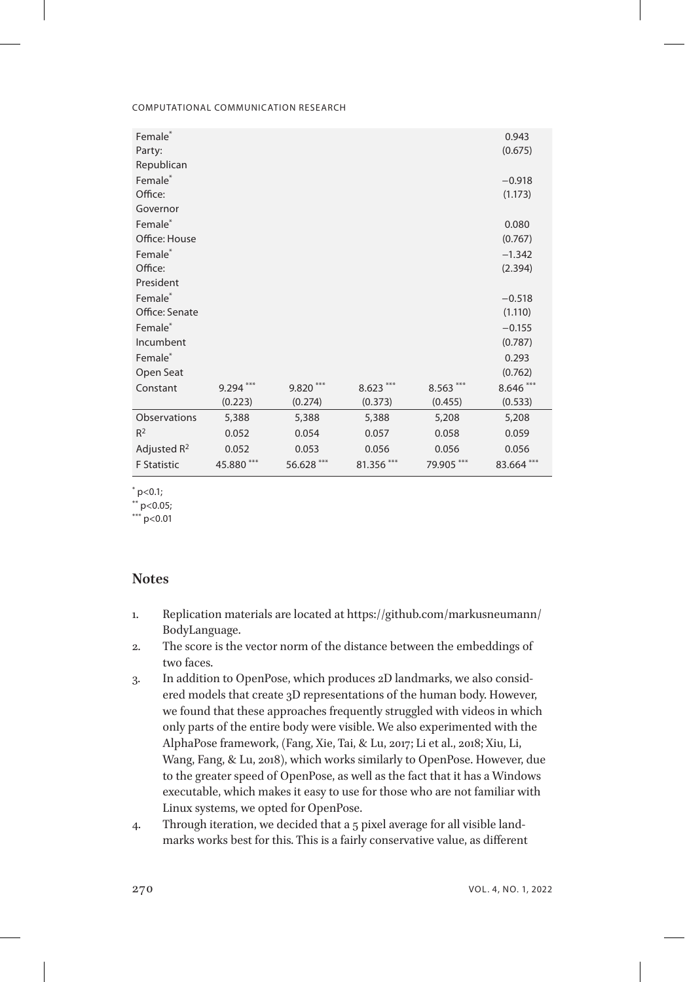| Female <sup>*</sup> |            |            |            |            | 0.943      |
|---------------------|------------|------------|------------|------------|------------|
| Party:              |            |            |            |            | (0.675)    |
| Republican          |            |            |            |            |            |
| Female <sup>*</sup> |            |            |            |            | $-0.918$   |
| Office:             |            |            |            |            | (1.173)    |
| Governor            |            |            |            |            |            |
| Female <sup>*</sup> |            |            |            |            | 0.080      |
| Office: House       |            |            |            |            | (0.767)    |
| Female*             |            |            |            |            | $-1.342$   |
| Office:             |            |            |            |            | (2.394)    |
| President           |            |            |            |            |            |
| Female*             |            |            |            |            | $-0.518$   |
| Office: Senate      |            |            |            |            | (1.110)    |
| Female*             |            |            |            |            | $-0.155$   |
| Incumbent           |            |            |            |            | (0.787)    |
| Female <sup>*</sup> |            |            |            |            | 0.293      |
| Open Seat           |            |            |            |            | (0.762)    |
| Constant            | $9.294***$ | $9.820***$ | $8.623***$ | $8.563***$ | $8.646***$ |
|                     | (0.223)    | (0.274)    | (0.373)    | (0.455)    | (0.533)    |
| Observations        | 5,388      | 5,388      | 5,388      | 5,208      | 5,208      |
| $R^2$               | 0.052      | 0.054      | 0.057      | 0.058      | 0.059      |
| Adjusted $R^2$      | 0.052      | 0.053      | 0.056      | 0.056      | 0.056      |
| <b>F</b> Statistic  | 45.880***  | 56.628 *** | 81.356 *** | 79.905 *** | 83.664 *** |

 $*$  p<0.1;

 $*$  p<0.05;

 $*$  p<0.01

# **Notes**

- <span id="page-16-0"></span>1. Replication materials are located at https://github.com/markusneumann/ BodyLanguage.
- <span id="page-16-1"></span>2. The score is the vector norm of the distance between the embeddings of two faces.
- <span id="page-16-2"></span>3. In addition to OpenPose, which produces 2D landmarks, we also considered models that create 3D representations of the human body. However, we found that these approaches frequently struggled with videos in which only parts of the entire body were visible. We also experimented with the AlphaPose framework, (Fang, Xie, Tai, & Lu, 2017; Li et al., 2018; Xiu, Li, Wang, Fang, & Lu, 2018), which works similarly to OpenPose. However, due to the greater speed of OpenPose, as well as the fact that it has a Windows executable, which makes it easy to use for those who are not familiar with Linux systems, we opted for OpenPose.
- <span id="page-16-3"></span>4. Through iteration, we decided that a 5 pixel average for all visible landmarks works best for this. This is a fairly conservative value, as different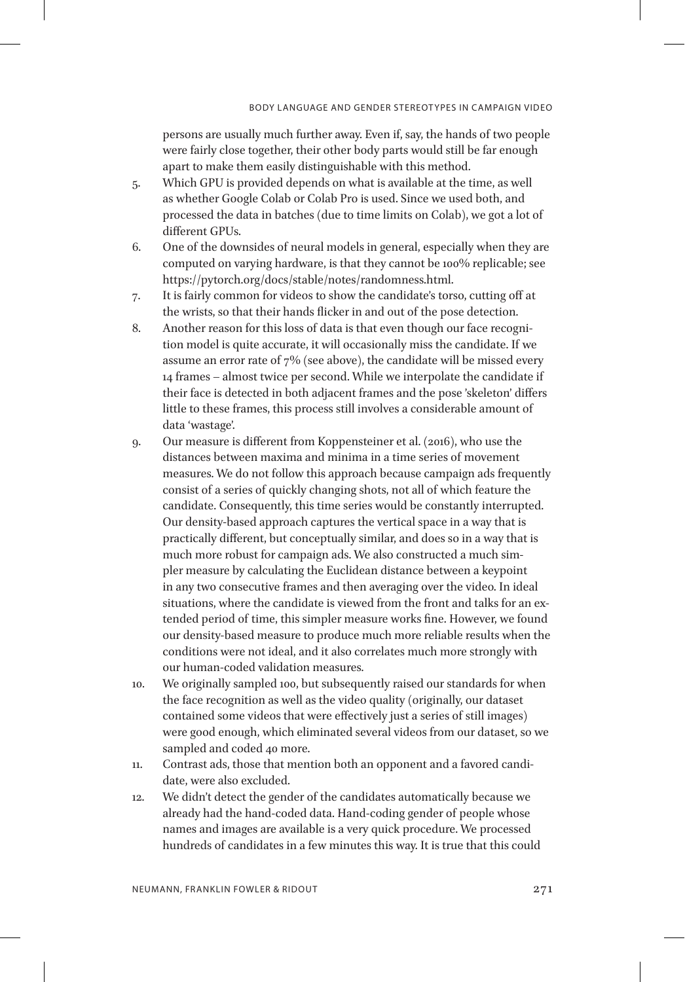<span id="page-17-0"></span>persons are usually much further away. Even if, say, the hands of two people were fairly close together, their other body parts would still be far enough apart to make them easily distinguishable with this method.

- 5. Which GPU is provided depends on what is available at the time, as well as whether Google Colab or Colab Pro is used. Since we used both, and processed the data in batches (due to time limits on Colab), we got a lot of different GPUs.
- <span id="page-17-1"></span>6. One of the downsides of neural models in general, especially when they are computed on varying hardware, is that they cannot be 100% replicable; see https://pytorch.org/docs/stable/notes/randomness.html.
- <span id="page-17-2"></span>7. It is fairly common for videos to show the candidate's torso, cutting off at the wrists, so that their hands flicker in and out of the pose detection.
- <span id="page-17-3"></span>8. Another reason for this loss of data is that even though our face recognition model is quite accurate, it will occasionally miss the candidate. If we assume an error rate of 7% (see above), the candidate will be missed every 14 frames – almost twice per second. While we interpolate the candidate if their face is detected in both adjacent frames and the pose 'skeleton' differs little to these frames, this process still involves a considerable amount of data 'wastage'.
- <span id="page-17-4"></span>9. Our measure is different from Koppensteiner et al. (2016), who use the distances between maxima and minima in a time series of movement measures. We do not follow this approach because campaign ads frequently consist of a series of quickly changing shots, not all of which feature the candidate. Consequently, this time series would be constantly interrupted. Our density-based approach captures the vertical space in a way that is practically different, but conceptually similar, and does so in a way that is much more robust for campaign ads. We also constructed a much simpler measure by calculating the Euclidean distance between a keypoint in any two consecutive frames and then averaging over the video. In ideal situations, where the candidate is viewed from the front and talks for an extended period of time, this simpler measure works fine. However, we found our density-based measure to produce much more reliable results when the conditions were not ideal, and it also correlates much more strongly with our human-coded validation measures.
- <span id="page-17-5"></span>10. We originally sampled 100, but subsequently raised our standards for when the face recognition as well as the video quality (originally, our dataset contained some videos that were effectively just a series of still images) were good enough, which eliminated several videos from our dataset, so we sampled and coded 40 more.
- <span id="page-17-6"></span>11. Contrast ads, those that mention both an opponent and a favored candidate, were also excluded.
- <span id="page-17-7"></span>12. We didn't detect the gender of the candidates automatically because we already had the hand-coded data. Hand-coding gender of people whose names and images are available is a very quick procedure. We processed hundreds of candidates in a few minutes this way. It is true that this could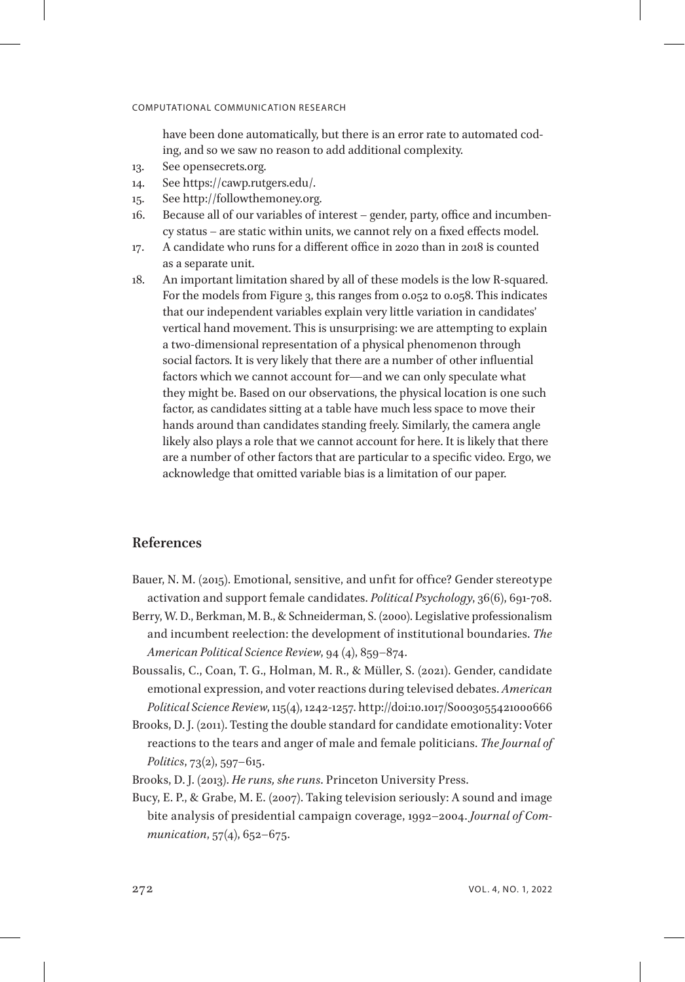<span id="page-18-1"></span><span id="page-18-0"></span>have been done automatically, but there is an error rate to automated coding, and so we saw no reason to add additional complexity.

- 13. See opensecrets.org.
- 14. See https://cawp.rutgers.edu/.
- <span id="page-18-2"></span>15. See http://followthemoney.org.
- <span id="page-18-3"></span>16. Because all of our variables of interest – gender, party, office and incumbency status – are static within units, we cannot rely on a fixed effects model.
- <span id="page-18-4"></span>17. A candidate who runs for a different office in 2020 than in 2018 is counted as a separate unit.
- <span id="page-18-5"></span>18. An important limitation shared by all of these models is the low R-squared. For the models from Figure 3, this ranges from 0.052 to 0.058. This indicates that our independent variables explain very little variation in candidates' vertical hand movement. This is unsurprising: we are attempting to explain a two-dimensional representation of a physical phenomenon through social factors. It is very likely that there are a number of other influential factors which we cannot account for—and we can only speculate what they might be. Based on our observations, the physical location is one such factor, as candidates sitting at a table have much less space to move their hands around than candidates standing freely. Similarly, the camera angle likely also plays a role that we cannot account for here. It is likely that there are a number of other factors that are particular to a specific video. Ergo, we acknowledge that omitted variable bias is a limitation of our paper.

# **References**

- Bauer, N. M. (2015). Emotional, sensitive, and unfit for office? Gender stereotype activation and support female candidates. *Political Psychology*, 36(6), 691-708.
- Berry, W. D., Berkman, M. B., & Schneiderman, S. (2000). Legislative professionalism and incumbent reelection: the development of institutional boundaries. *The American Political Science Review*, 94 (4), 859–874.
- Boussalis, C., Coan, T. G., Holman, M. R., & Müller, S. (2021). Gender, candidate emotional expression, and voter reactions during televised debates. *American Political Science Review*, 115(4), 1242-1257. http://doi:10.1017/S0003055421000666
- Brooks, D. J. (2011). Testing the double standard for candidate emotionality: Voter reactions to the tears and anger of male and female politicians. *The Journal of Politics*, 73(2), 597–615.
- Brooks, D. J. (2013). *He runs, she runs*. Princeton University Press.
- Bucy, E. P., & Grabe, M. E. (2007). Taking television seriously: A sound and image bite analysis of presidential campaign coverage, 1992–2004. *Journal of Communication*, 57(4), 652–675.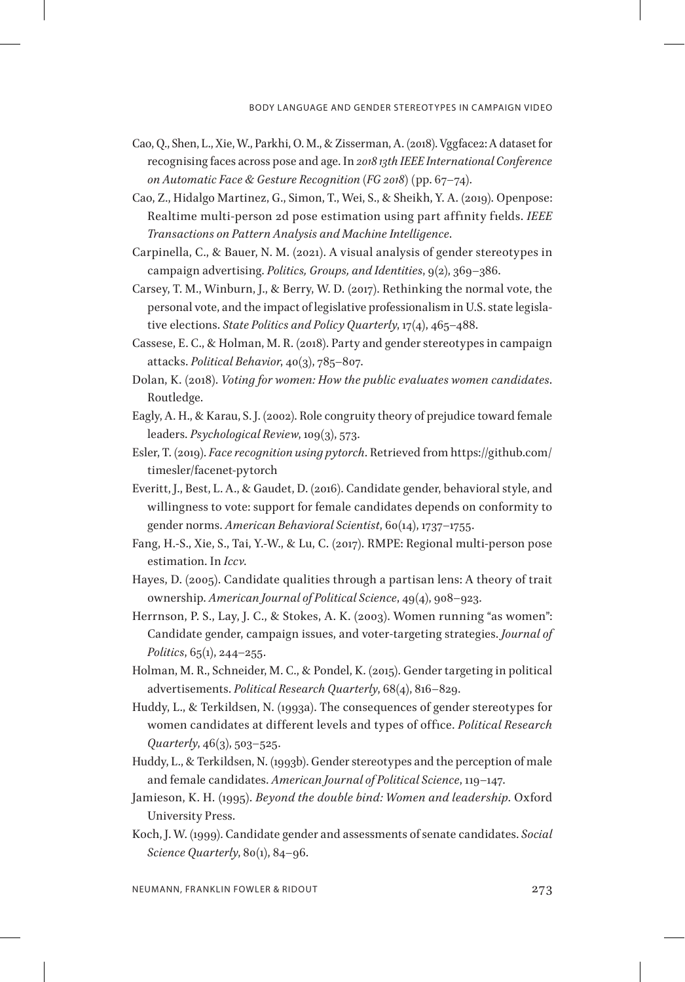- Cao, O., Shen, L., Xie, W., Parkhi, O. M., & Zisserman, A. (2018). Vggface2: A dataset for recognising faces across pose and age. In *2018 13th IEEE International Conference on Automatic Face & Gesture Recognition (FG 2018)* (pp. 67–74).
- Cao, Z., Hidalgo Martinez, G., Simon, T., Wei, S., & Sheikh, Y. A. (2019). Openpose: Realtime multi-person 2d pose estimation using part affinity fields. *IEEE Transactions on Pattern Analysis and Machine Intelligence*.
- Carpinella, C., & Bauer, N. M. (2021). A visual analysis of gender stereotypes in campaign advertising. *Politics, Groups, and Identities*, 9(2), 369–386.
- Carsey, T. M., Winburn, J., & Berry, W. D. (2017). Rethinking the normal vote, the personal vote, and the impact of legislative professionalism in U.S. state legislative elections. *State Politics and Policy Quarterly*, 17(4), 465–488.
- Cassese, E. C., & Holman, M. R. (2018). Party and gender stereotypes in campaign attacks. *Political Behavior*, 40(3), 785–807.
- Dolan, K. (2018). *Voting for women: How the public evaluates women candidates*. Routledge.
- Eagly, A. H., & Karau, S. J. (2002). Role congruity theory of prejudice toward female leaders. *Psychological Review*, 109(3), 573.
- Esler, T. (2019). *Face recognition using pytorch*. Retrieved from https://github.com/ timesler/facenet-pytorch
- Everitt, J., Best, L. A., & Gaudet, D. (2016). Candidate gender, behavioral style, and willingness to vote: support for female candidates depends on conformity to gender norms. *American Behavioral Scientist*, 60(14), 1737–1755.
- Fang, H.-S., Xie, S., Tai, Y.-W., & Lu, C. (2017). RMPE: Regional multi-person pose estimation. In *Iccv*.
- Hayes, D. (2005). Candidate qualities through a partisan lens: A theory of trait ownership. *American Journal of Political Science*, 49(4), 908–923.
- Herrnson, P. S., Lay, J. C., & Stokes, A. K. (2003). Women running "as women": Candidate gender, campaign issues, and voter-targeting strategies. *Journal of Politics*, 65(1), 244–255.
- Holman, M. R., Schneider, M. C., & Pondel, K. (2015). Gender targeting in political advertisements. *Political Research Quarterly*, 68(4), 816–829.
- Huddy, L., & Terkildsen, N. (1993a). The consequences of gender stereotypes for women candidates at different levels and types of office. *Political Research Quarterly*, 46(3), 503–525.
- Huddy, L., & Terkildsen, N. (1993b). Gender stereotypes and the perception of male and female candidates. *American Journal of Political Science*, 119–147.
- Jamieson, K. H. (1995). *Beyond the double bind: Women and leadership*. Oxford University Press.
- Koch, J. W. (1999). Candidate gender and assessments of senate candidates. *Social Science Quarterly*, 80(1), 84–96.